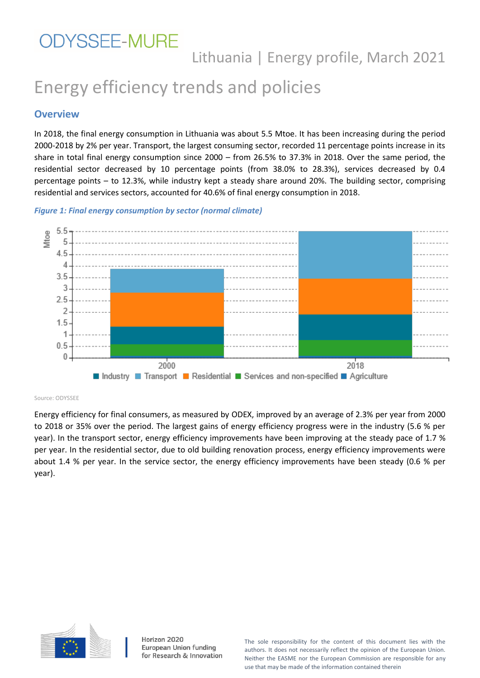# Energy efficiency trends and policies

#### **Overview**

In 2018, the final energy consumption in Lithuania was about 5.5 Mtoe. It has been increasing during the period 2000-2018 by 2% per year. Transport, the largest consuming sector, recorded 11 percentage points increase in its share in total final energy consumption since 2000 – from 26.5% to 37.3% in 2018. Over the same period, the residential sector decreased by 10 percentage points (from 38.0% to 28.3%), services decreased by 0.4 percentage points – to 12.3%, while industry kept a steady share around 20%. The building sector, comprising residential and services sectors, accounted for 40.6% of final energy consumption in 2018.





#### Source: ODYSSEE

Energy efficiency for final consumers, as measured by ODEX, improved by an average of 2.3% per year from 2000 to 2018 or 35% over the period. The largest gains of energy efficiency progress were in the industry (5.6 % per year). In the transport sector, energy efficiency improvements have been improving at the steady pace of 1.7 % per year. In the residential sector, due to old building renovation process, energy efficiency improvements were about 1.4 % per year. In the service sector, the energy efficiency improvements have been steady (0.6 % per year).



Horizon 2020 European Union funding for Research & Innovation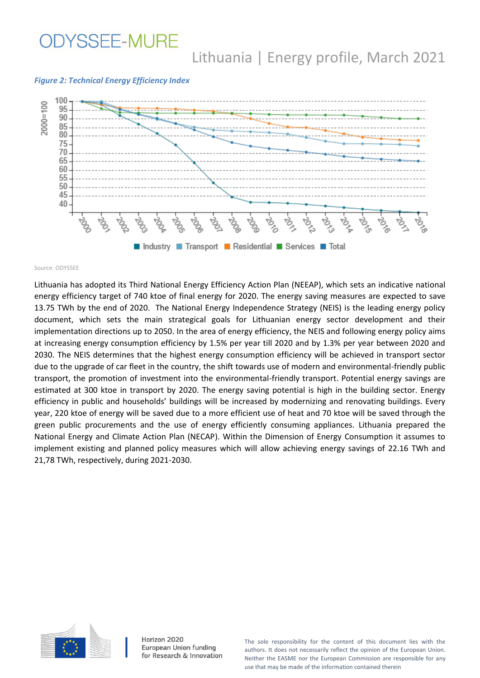## **ODYSSEE-MURE**

## Lithuania | Energy profile, March 2021

#### *Figure 2: Technical Energy Efficiency Index*



Source: ODYSSEE

Lithuania has adopted its Third National Energy Efficiency Action Plan (NEEAP), which sets an indicative national energy efficiency target of 740 ktoe of final energy for 2020. The energy saving measures are expected to save 13.75 TWh by the end of 2020. The National Energy Independence Strategy (NEIS) is the leading energy policy document, which sets the main strategical goals for Lithuanian energy sector development and their implementation directions up to 2050. In the area of energy efficiency, the NEIS and following energy policy aims at increasing energy consumption efficiency by 1.5% per year till 2020 and by 1.3% per year between 2020 and 2030. The NEIS determines that the highest energy consumption efficiency will be achieved in transport sector due to the upgrade of car fleet in the country, the shift towards use of modern and environmental-friendly public transport, the promotion of investment into the environmental-friendly transport. Potential energy savings are estimated at 300 ktoe in transport by 2020. The energy saving potential is high in the building sector. Energy efficiency in public and households' buildings will be increased by modernizing and renovating buildings. Every year, 220 ktoe of energy will be saved due to a more efficient use of heat and 70 ktoe will be saved through the green public procurements and the use of energy efficiently consuming appliances. Lithuania prepared the National Energy and Climate Action Plan (NECAP). Within the Dimension of Energy Consumption it assumes to implement existing and planned policy measures which will allow achieving energy savings of 22.16 TWh and 21,78 TWh, respectively, during 2021-2030.



Horizon 2020 European Union funding for Research & Innovation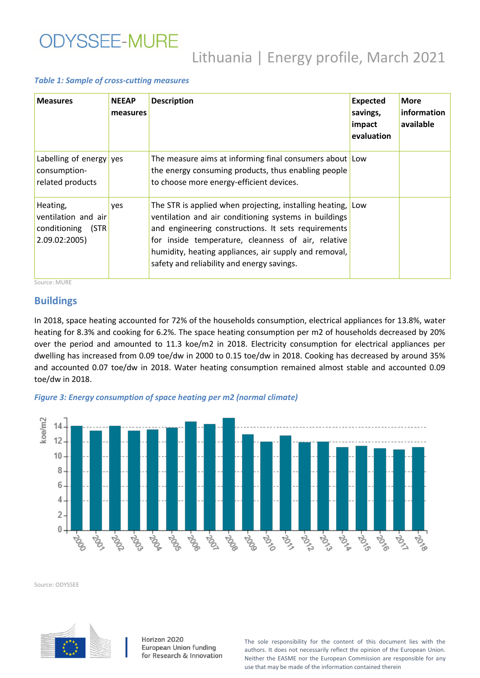# **ODYSSEE-MURE**

# Lithuania | Energy profile, March 2021

#### *Table 1: Sample of cross-cutting measures*

| <b>Measures</b>                                                           | <b>NEEAP</b><br>measures | <b>Description</b>                                                                                                                                                                                                                                                                                                                   | <b>Expected</b><br>savings,<br>impact<br>evaluation | <b>More</b><br>information<br>available |
|---------------------------------------------------------------------------|--------------------------|--------------------------------------------------------------------------------------------------------------------------------------------------------------------------------------------------------------------------------------------------------------------------------------------------------------------------------------|-----------------------------------------------------|-----------------------------------------|
| Labelling of energy yes<br>consumption-<br>related products               |                          | The measure aims at informing final consumers about Low<br>the energy consuming products, thus enabling people<br>to choose more energy-efficient devices.                                                                                                                                                                           |                                                     |                                         |
| Heating,<br>ventilation and air<br>conditioning<br>(STR)<br>2.09.02:2005) | <b>ves</b>               | The STR is applied when projecting, installing heating,<br>ventilation and air conditioning systems in buildings<br>and engineering constructions. It sets requirements<br>for inside temperature, cleanness of air, relative<br>humidity, heating appliances, air supply and removal,<br>safety and reliability and energy savings. | Low                                                 |                                         |

Source: MURE

#### **Buildings**

In 2018, space heating accounted for 72% of the households consumption, electrical appliances for 13.8%, water heating for 8.3% and cooking for 6.2%. The space heating consumption per m2 of households decreased by 20% over the period and amounted to 11.3 koe/m2 in 2018. Electricity consumption for electrical appliances per dwelling has increased from 0.09 toe/dw in 2000 to 0.15 toe/dw in 2018. Cooking has decreased by around 35% and accounted 0.07 toe/dw in 2018. Water heating consumption remained almost stable and accounted 0.09 toe/dw in 2018.





Source: ODYSSEE



Horizon 2020 European Union funding for Research & Innovation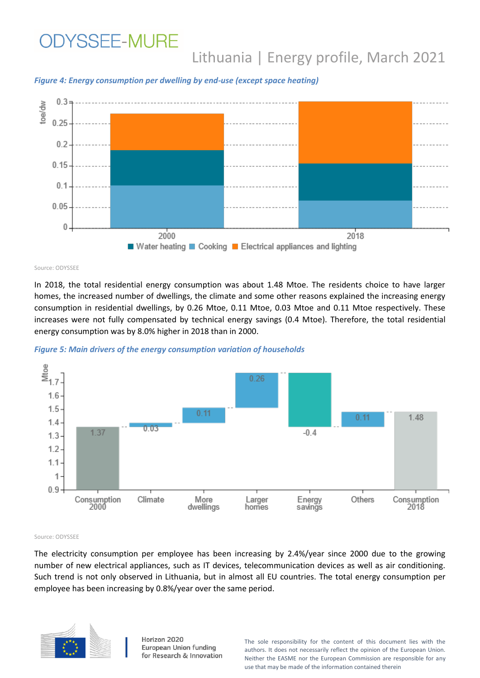*Figure 4: Energy consumption per dwelling by end-use (except space heating)*



Source: ODYSSEE

In 2018, the total residential energy consumption was about 1.48 Mtoe. The residents choice to have larger homes, the increased number of dwellings, the climate and some other reasons explained the increasing energy consumption in residential dwellings, by 0.26 Mtoe, 0.11 Mtoe, 0.03 Mtoe and 0.11 Mtoe respectively. These increases were not fully compensated by technical energy savings (0.4 Mtoe). Therefore, the total residential energy consumption was by 8.0% higher in 2018 than in 2000.





Source: ODYSSEE

The electricity consumption per employee has been increasing by 2.4%/year since 2000 due to the growing number of new electrical appliances, such as IT devices, telecommunication devices as well as air conditioning. Such trend is not only observed in Lithuania, but in almost all EU countries. The total energy consumption per employee has been increasing by 0.8%/year over the same period.



Horizon 2020 European Union funding for Research & Innovation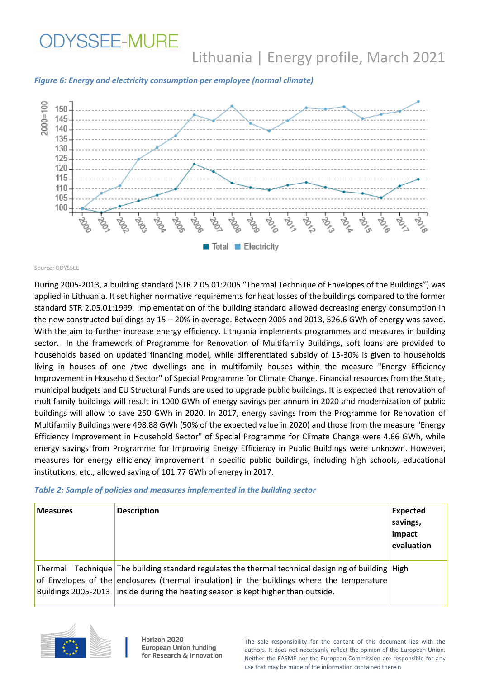**ODYSSEE-MURE** 

# Lithuania | Energy profile, March 2021

*Figure 6: Energy and electricity consumption per employee (normal climate)*



Source: ODYSSEE

During 2005-2013, a building standard (STR 2.05.01:2005 "Thermal Technique of Envelopes of the Buildings") was applied in Lithuania. It set higher normative requirements for heat losses of the buildings compared to the former standard STR 2.05.01:1999. Implementation of the building standard allowed decreasing energy consumption in the new constructed buildings by 15 – 20% in average. Between 2005 and 2013, 526.6 GWh of energy was saved. With the aim to further increase energy efficiency, Lithuania implements programmes and measures in building sector. In the framework of Programme for Renovation of Multifamily Buildings, soft loans are provided to households based on updated financing model, while differentiated subsidy of 15-30% is given to households living in houses of one /two dwellings and in multifamily houses within the measure "Energy Efficiency Improvement in Household Sector" of Special Programme for Climate Change. Financial resources from the State, municipal budgets and EU Structural Funds are used to upgrade public buildings. It is expected that renovation of multifamily buildings will result in 1000 GWh of energy savings per annum in 2020 and modernization of public buildings will allow to save 250 GWh in 2020. In 2017, energy savings from the Programme for Renovation of Multifamily Buildings were 498.88 GWh (50% of the expected value in 2020) and those from the measure "Energy Efficiency Improvement in Household Sector" of Special Programme for Climate Change were 4.66 GWh, while energy savings from Programme for Improving Energy Efficiency in Public Buildings were unknown. However, measures for energy efficiency improvement in specific public buildings, including high schools, educational institutions, etc., allowed saving of 101.77 GWh of energy in 2017.

#### *Table 2: Sample of policies and measures implemented in the building sector*

| <b>Measures</b>     | <b>Description</b>                                                                                                                                                                                                                                                | Expected<br>savings,<br>impact<br>evaluation |
|---------------------|-------------------------------------------------------------------------------------------------------------------------------------------------------------------------------------------------------------------------------------------------------------------|----------------------------------------------|
| Buildings 2005-2013 | Thermal Technique The building standard regulates the thermal technical designing of building High<br>of Envelopes of the enclosures (thermal insulation) in the buildings where the temperature<br>inside during the heating season is kept higher than outside. |                                              |



Horizon 2020 European Union funding for Research & Innovation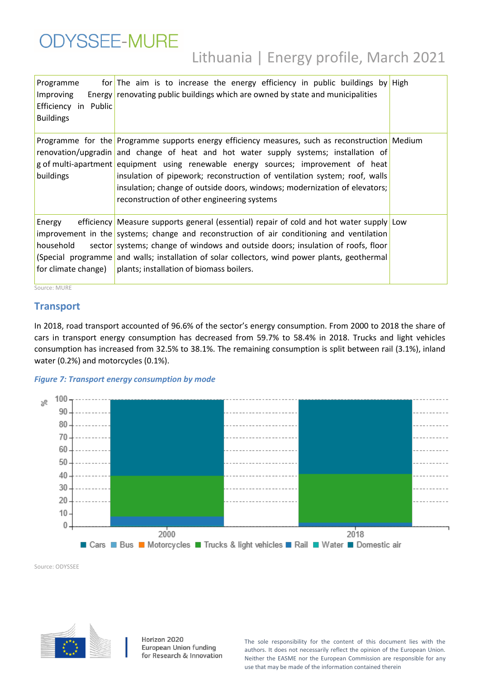| <b>ODYSSEE-MURE</b> |                                        |  |  |  |
|---------------------|----------------------------------------|--|--|--|
|                     | Lithuania   Energy profile, March 2021 |  |  |  |

| Programme<br>Improving<br>Efficiency in Public<br><b>Buildings</b> | for The aim is to increase the energy efficiency in public buildings by High<br>Energy renovating public buildings which are owned by state and municipalities                                                                                                                                                                                                                                                                                                                        |  |
|--------------------------------------------------------------------|---------------------------------------------------------------------------------------------------------------------------------------------------------------------------------------------------------------------------------------------------------------------------------------------------------------------------------------------------------------------------------------------------------------------------------------------------------------------------------------|--|
| buildings                                                          | Programme for the Programme supports energy efficiency measures, such as reconstruction Medium<br>renovation/upgradin and change of heat and hot water supply systems; installation of<br>g of multi-apartment equipment using renewable energy sources; improvement of heat<br>insulation of pipework; reconstruction of ventilation system; roof, walls<br>insulation; change of outside doors, windows; modernization of elevators;<br>reconstruction of other engineering systems |  |
| Energy<br>household<br>for climate change)                         | efficiency Measure supports general (essential) repair of cold and hot water supply Low<br>improvement in the systems; change and reconstruction of air conditioning and ventilation<br>sector systems; change of windows and outside doors; insulation of roofs, floor<br>(Special programme and walls; installation of solar collectors, wind power plants, geothermal<br>plants; installation of biomass boilers.                                                                  |  |

Source: MURE

#### **Transport**

In 2018, road transport accounted of 96.6% of the sector's energy consumption. From 2000 to 2018 the share of cars in transport energy consumption has decreased from 59.7% to 58.4% in 2018. Trucks and light vehicles consumption has increased from 32.5% to 38.1%. The remaining consumption is split between rail (3.1%), inland water (0.2%) and motorcycles (0.1%).

#### *Figure 7: Transport energy consumption by mode*



Source: ODYSSEE



Horizon 2020 European Union funding for Research & Innovation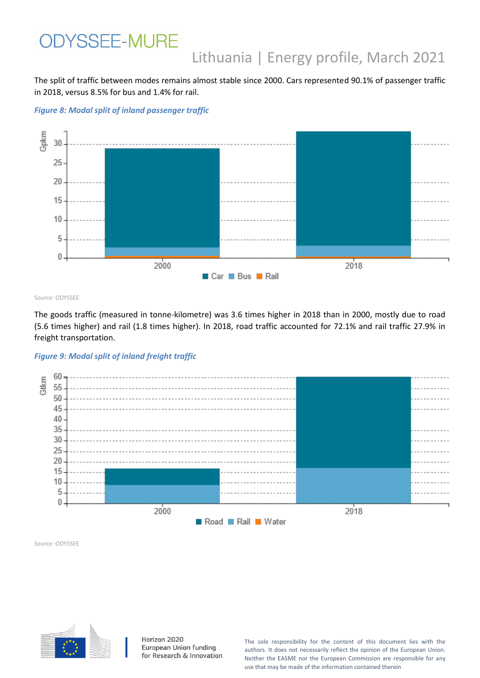The split of traffic between modes remains almost stable since 2000. Cars represented 90.1% of passenger traffic in 2018, versus 8.5% for bus and 1.4% for rail.

*Figure 8: Modal split of inland passenger traffic*



Source: ODYSSEE

The goods traffic (measured in tonne-kilometre) was 3.6 times higher in 2018 than in 2000, mostly due to road (5.6 times higher) and rail (1.8 times higher). In 2018, road traffic accounted for 72.1% and rail traffic 27.9% in freight transportation.

#### *Figure 9: Modal split of inland freight traffic*



Source: ODYSSEE



Horizon 2020 European Union funding for Research & Innovation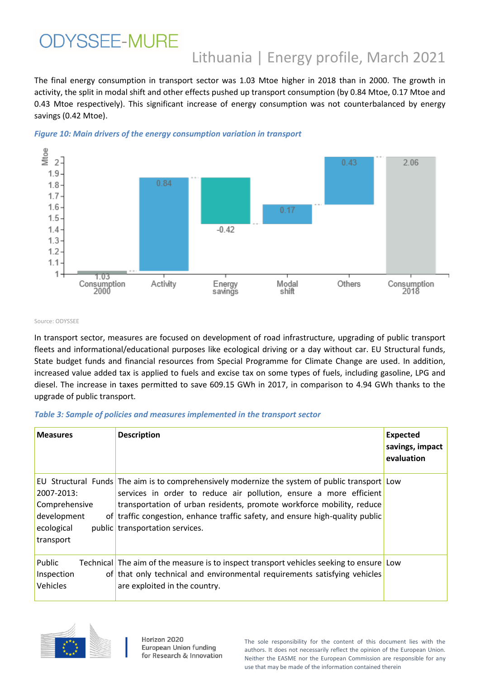The final energy consumption in transport sector was 1.03 Mtoe higher in 2018 than in 2000. The growth in activity, the split in modal shift and other effects pushed up transport consumption (by 0.84 Mtoe, 0.17 Mtoe and 0.43 Mtoe respectively). This significant increase of energy consumption was not counterbalanced by energy savings (0.42 Mtoe).





Source: ODYSSEE

In transport sector, measures are focused on development of road infrastructure, upgrading of public transport fleets and informational/educational purposes like ecological driving or a day without car. EU Structural funds, State budget funds and financial resources from Special Programme for Climate Change are used. In addition, increased value added tax is applied to fuels and excise tax on some types of fuels, including gasoline, LPG and diesel. The increase in taxes permitted to save 609.15 GWh in 2017, in comparison to 4.94 GWh thanks to the upgrade of public transport.

#### *Table 3: Sample of policies and measures implemented in the transport sector*

| <b>Measures</b>                                                       | <b>Description</b>                                                                                                                                                                                                                                                                                                                                                | <b>Expected</b><br>savings, impact<br>evaluation |
|-----------------------------------------------------------------------|-------------------------------------------------------------------------------------------------------------------------------------------------------------------------------------------------------------------------------------------------------------------------------------------------------------------------------------------------------------------|--------------------------------------------------|
| 2007-2013:<br>Comprehensive<br>development<br>ecological<br>transport | EU Structural Funds The aim is to comprehensively modernize the system of public transport Low<br>services in order to reduce air pollution, ensure a more efficient<br>transportation of urban residents, promote workforce mobility, reduce<br>of traffic congestion, enhance traffic safety, and ensure high-quality public<br>public transportation services. |                                                  |
| Public<br>Inspection<br><b>Vehicles</b>                               | Technical The aim of the measure is to inspect transport vehicles seeking to ensure Low<br>of that only technical and environmental requirements satisfying vehicles<br>are exploited in the country.                                                                                                                                                             |                                                  |



Horizon 2020 European Union funding for Research & Innovation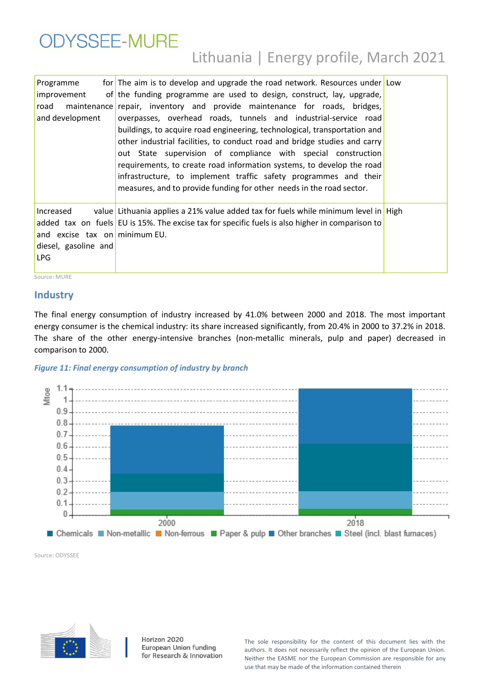| <b>ODYSSEE-MURE</b> |                                        |  |  |
|---------------------|----------------------------------------|--|--|
|                     | Lithuania   Energy profile, March 2021 |  |  |

| Programme<br>improvement<br>road<br>and development                        | for The aim is to develop and upgrade the road network. Resources under Low<br>of the funding programme are used to design, construct, lay, upgrade,<br>maintenance repair, inventory and provide maintenance for roads, bridges,<br>overpasses, overhead roads, tunnels and industrial-service road<br>buildings, to acquire road engineering, technological, transportation and<br>other industrial facilities, to conduct road and bridge studies and carry<br>out State supervision of compliance with special construction<br>requirements, to create road information systems, to develop the road<br>infrastructure, to implement traffic safety programmes and their<br>measures, and to provide funding for other needs in the road sector. |  |
|----------------------------------------------------------------------------|------------------------------------------------------------------------------------------------------------------------------------------------------------------------------------------------------------------------------------------------------------------------------------------------------------------------------------------------------------------------------------------------------------------------------------------------------------------------------------------------------------------------------------------------------------------------------------------------------------------------------------------------------------------------------------------------------------------------------------------------------|--|
| Increased<br>and excise tax on minimum EU.<br>diesel, gasoline and<br>LPG. | value Lithuania applies a 21% value added tax for fuels while minimum level in High<br>added tax on fuels EU is 15%. The excise tax for specific fuels is also higher in comparison to                                                                                                                                                                                                                                                                                                                                                                                                                                                                                                                                                               |  |

Source: MURE

#### **Industry**

The final energy consumption of industry increased by 41.0% between 2000 and 2018. The most important energy consumer is the chemical industry: its share increased significantly, from 20.4% in 2000 to 37.2% in 2018. The share of the other energy-intensive branches (non-metallic minerals, pulp and paper) decreased in comparison to 2000.

#### *Figure 11: Final energy consumption of industry by branch*



Source: ODYSSEE



Horizon 2020 European Union funding for Research & Innovation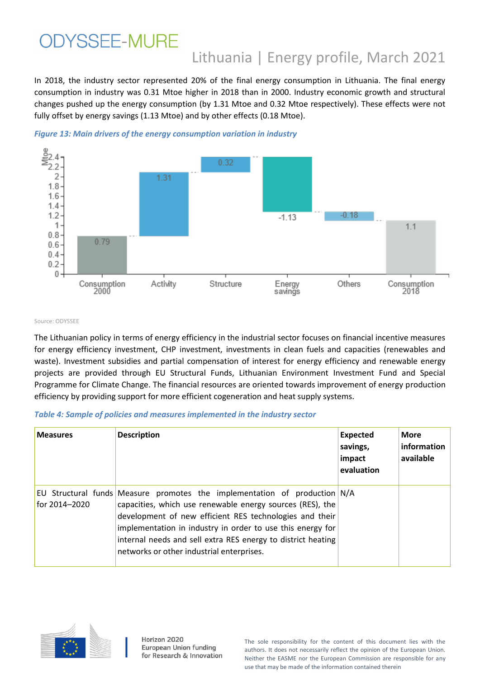In 2018, the industry sector represented 20% of the final energy consumption in Lithuania. The final energy consumption in industry was 0.31 Mtoe higher in 2018 than in 2000. Industry economic growth and structural changes pushed up the energy consumption (by 1.31 Mtoe and 0.32 Mtoe respectively). These effects were not fully offset by energy savings (1.13 Mtoe) and by other effects (0.18 Mtoe).





#### Source: ODYSSEE

The Lithuanian policy in terms of energy efficiency in the industrial sector focuses on financial incentive measures for energy efficiency investment, CHP investment, investments in clean fuels and capacities (renewables and waste). Investment subsidies and partial compensation of interest for energy efficiency and renewable energy projects are provided through EU Structural Funds, Lithuanian Environment Investment Fund and Special Programme for Climate Change. The financial resources are oriented towards improvement of energy production efficiency by providing support for more efficient cogeneration and heat supply systems.

#### *Table 4: Sample of policies and measures implemented in the industry sector*

| <b>Measures</b> | <b>Description</b>                                                                                                                                                                                                                                                                                                                                                           | <b>Expected</b><br>savings,<br>impact<br>evaluation | <b>More</b><br>information<br>available |
|-----------------|------------------------------------------------------------------------------------------------------------------------------------------------------------------------------------------------------------------------------------------------------------------------------------------------------------------------------------------------------------------------------|-----------------------------------------------------|-----------------------------------------|
| for 2014-2020   | EU Structural funds Measure promotes the implementation of production N/A<br>capacities, which use renewable energy sources (RES), the<br>development of new efficient RES technologies and their<br>implementation in industry in order to use this energy for<br>internal needs and sell extra RES energy to district heating<br>networks or other industrial enterprises. |                                                     |                                         |



Horizon 2020 European Union funding for Research & Innovation